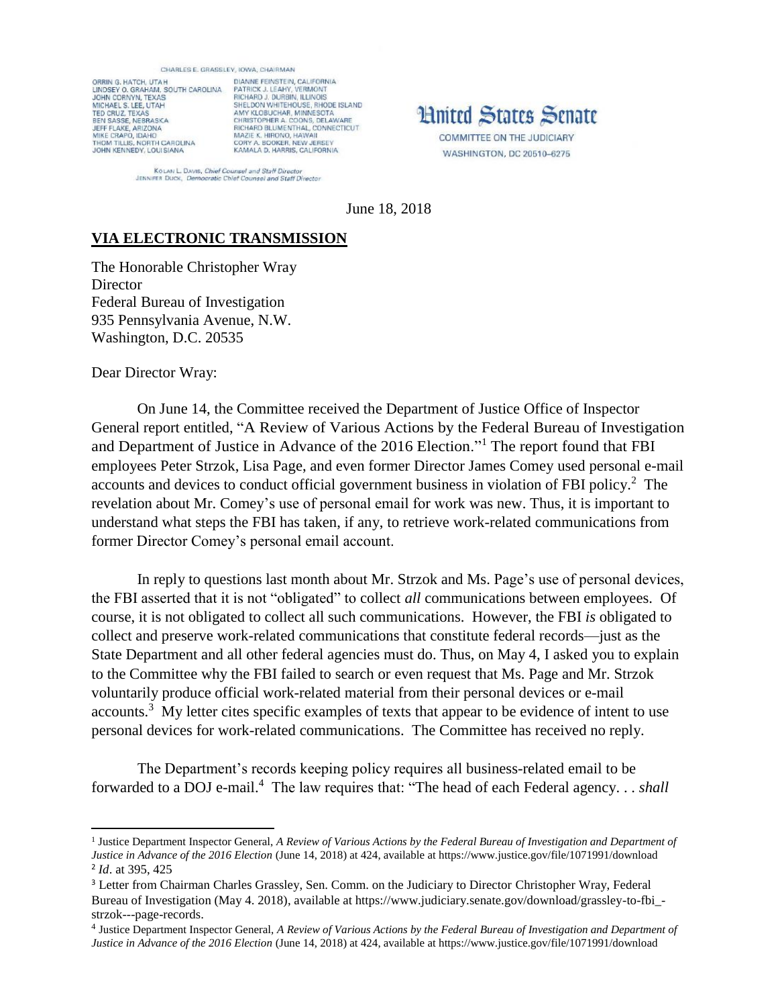## CHARLES E. GRASSLEY, IOWA, CHAIRMAN

ORRIN G. HATCH, UTAH ORNIN S. HATCH, UTAH<br>LINDSEY O. GRAHAM, SOUTH CAROLINA<br>JOHN CORNYN, TEXAS<br>MICHAEL S. LEE, UTAH TED CRUZ, TEXAS<br>BEN SASSE, NEBRASKA<br>JEFF FLAKE, ARIZONA MIKE CRAPO, IDAHO<br>THOM TILLIS, NORTH CAROLINA JOHN KENNEDY, LOUI SIANA

DIANNE FEINSTEIN, CALIFORNIA PATRICK J. LEAHY, VERMONT<br>RICHARD J. DURBIN, ILLINOIS<br>SHELDON WHITEHOUSE, RHODE ISLAND AMY KLOBUCHAR, MINNESOTA<br>CHRISTOPHER A. COONS, DELAWARE<br>RICHARD BLUMENTHAL, CONNECTICUT MAZIE K. HIRONO, HAWAII<br>CORY A. BOOKER, NEW JERSEY KAMALA D. HARRIS, CALIFORNIA

**Hnited States Senate** COMMITTEE ON THE JUDICIARY WASHINGTON, DC 20510-6275

KOLAN L. DAVIS, Chief Counsel and Staff Director<br>JENNIFER DUCK, Democratic Chief Counsel and Staff Director

June 18, 2018

## **VIA ELECTRONIC TRANSMISSION**

The Honorable Christopher Wray **Director** Federal Bureau of Investigation 935 Pennsylvania Avenue, N.W. Washington, D.C. 20535

Dear Director Wray:

l

On June 14, the Committee received the Department of Justice Office of Inspector General report entitled, "A Review of Various Actions by the Federal Bureau of Investigation and Department of Justice in Advance of the 2016 Election."<sup>1</sup> The report found that FBI employees Peter Strzok, Lisa Page, and even former Director James Comey used personal e-mail accounts and devices to conduct official government business in violation of FBI policy. 2 The revelation about Mr. Comey's use of personal email for work was new. Thus, it is important to understand what steps the FBI has taken, if any, to retrieve work-related communications from former Director Comey's personal email account.

In reply to questions last month about Mr. Strzok and Ms. Page's use of personal devices, the FBI asserted that it is not "obligated" to collect *all* communications between employees. Of course, it is not obligated to collect all such communications. However, the FBI *is* obligated to collect and preserve work-related communications that constitute federal records—just as the State Department and all other federal agencies must do. Thus, on May 4, I asked you to explain to the Committee why the FBI failed to search or even request that Ms. Page and Mr. Strzok voluntarily produce official work-related material from their personal devices or e-mail accounts.<sup>3</sup> My letter cites specific examples of texts that appear to be evidence of intent to use personal devices for work-related communications. The Committee has received no reply.

The Department's records keeping policy requires all business-related email to be forwarded to a DOJ e-mail. 4 The law requires that: "The head of each Federal agency. . . *shall*

<sup>&</sup>lt;sup>1</sup> Justice Department Inspector General, *A Review of Various Actions by the Federal Bureau of Investigation and Department of Justice in Advance of the 2016 Election* (June 14, 2018) at 424, available at https://www.justice.gov/file/1071991/download 2 *Id*. at 395, 425

<sup>&</sup>lt;sup>3</sup> Letter from Chairman Charles Grassley, Sen. Comm. on the Judiciary to Director Christopher Wray, Federal Bureau of Investigation (May 4, 2018), available at https://www.judiciary.senate.gov/download/grassley-to-fbi strzok---page-records.

<sup>4</sup> Justice Department Inspector General, *A Review of Various Actions by the Federal Bureau of Investigation and Department of Justice in Advance of the 2016 Election* (June 14, 2018) at 424, available at https://www.justice.gov/file/1071991/download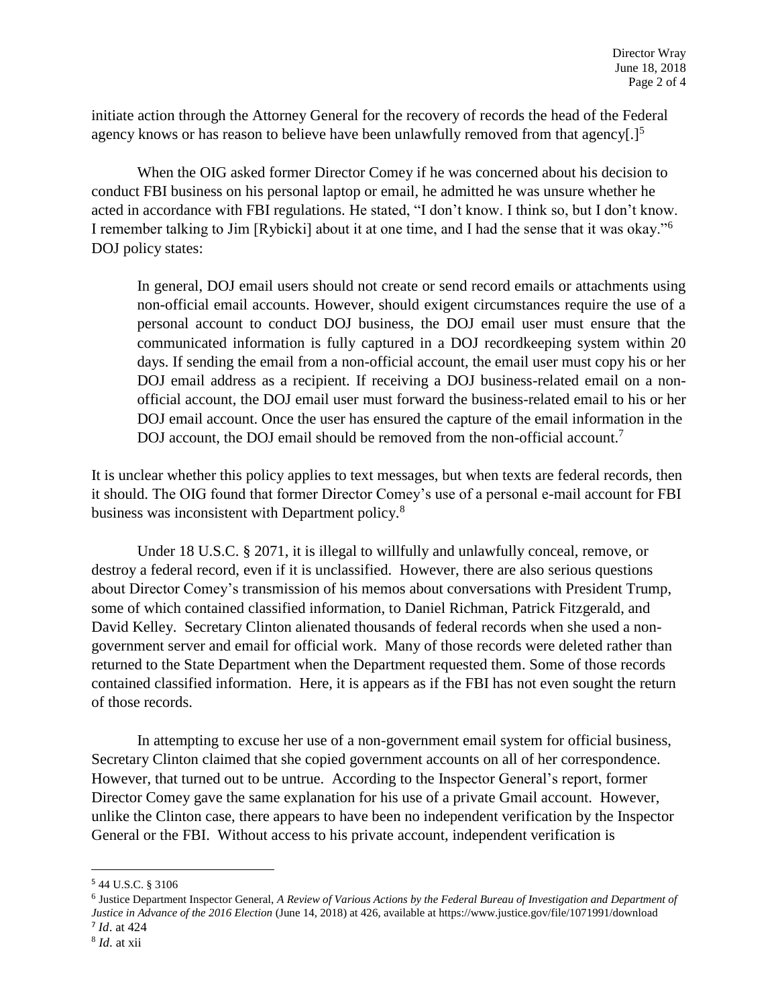initiate action through the Attorney General for the recovery of records the head of the Federal agency knows or has reason to believe have been unlawfully removed from that agency[.]<sup>5</sup>

When the OIG asked former Director Comey if he was concerned about his decision to conduct FBI business on his personal laptop or email, he admitted he was unsure whether he acted in accordance with FBI regulations. He stated, "I don't know. I think so, but I don't know. I remember talking to Jim [Rybicki] about it at one time, and I had the sense that it was okay."<sup>6</sup> DOJ policy states:

In general, DOJ email users should not create or send record emails or attachments using non-official email accounts. However, should exigent circumstances require the use of a personal account to conduct DOJ business, the DOJ email user must ensure that the communicated information is fully captured in a DOJ recordkeeping system within 20 days. If sending the email from a non-official account, the email user must copy his or her DOJ email address as a recipient. If receiving a DOJ business-related email on a nonofficial account, the DOJ email user must forward the business-related email to his or her DOJ email account. Once the user has ensured the capture of the email information in the DOJ account, the DOJ email should be removed from the non-official account.<sup>7</sup>

It is unclear whether this policy applies to text messages, but when texts are federal records, then it should. The OIG found that former Director Comey's use of a personal e-mail account for FBI business was inconsistent with Department policy.<sup>8</sup>

Under 18 U.S.C. § 2071, it is illegal to willfully and unlawfully conceal, remove, or destroy a federal record, even if it is unclassified. However, there are also serious questions about Director Comey's transmission of his memos about conversations with President Trump, some of which contained classified information, to Daniel Richman, Patrick Fitzgerald, and David Kelley. Secretary Clinton alienated thousands of federal records when she used a nongovernment server and email for official work. Many of those records were deleted rather than returned to the State Department when the Department requested them. Some of those records contained classified information. Here, it is appears as if the FBI has not even sought the return of those records.

In attempting to excuse her use of a non-government email system for official business, Secretary Clinton claimed that she copied government accounts on all of her correspondence. However, that turned out to be untrue. According to the Inspector General's report, former Director Comey gave the same explanation for his use of a private Gmail account. However, unlike the Clinton case, there appears to have been no independent verification by the Inspector General or the FBI. Without access to his private account, independent verification is

l

<sup>5</sup> 44 U.S.C. § 3106

<sup>6</sup> Justice Department Inspector General, *A Review of Various Actions by the Federal Bureau of Investigation and Department of Justice in Advance of the 2016 Election* (June 14, 2018) at 426, available at https://www.justice.gov/file/1071991/download 7 *Id*. at 424

<sup>8</sup> *Id*. at xii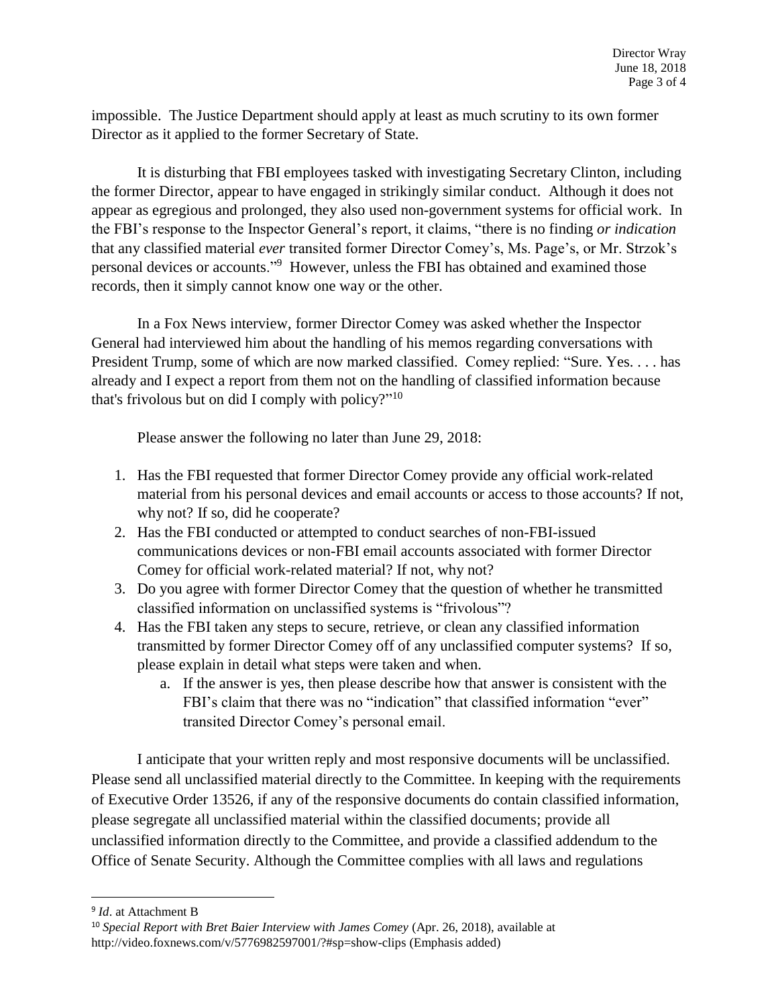impossible. The Justice Department should apply at least as much scrutiny to its own former Director as it applied to the former Secretary of State.

It is disturbing that FBI employees tasked with investigating Secretary Clinton, including the former Director, appear to have engaged in strikingly similar conduct. Although it does not appear as egregious and prolonged, they also used non-government systems for official work. In the FBI's response to the Inspector General's report, it claims, "there is no finding *or indication* that any classified material *ever* transited former Director Comey's, Ms. Page's, or Mr. Strzok's personal devices or accounts."<sup>9</sup> However, unless the FBI has obtained and examined those records, then it simply cannot know one way or the other.

In a Fox News interview, former Director Comey was asked whether the Inspector General had interviewed him about the handling of his memos regarding conversations with President Trump, some of which are now marked classified. Comey replied: "Sure. Yes. . . . has already and I expect a report from them not on the handling of classified information because that's frivolous but on did I comply with policy?" 10

Please answer the following no later than June 29, 2018:

- 1. Has the FBI requested that former Director Comey provide any official work-related material from his personal devices and email accounts or access to those accounts? If not, why not? If so, did he cooperate?
- 2. Has the FBI conducted or attempted to conduct searches of non-FBI-issued communications devices or non-FBI email accounts associated with former Director Comey for official work-related material? If not, why not?
- 3. Do you agree with former Director Comey that the question of whether he transmitted classified information on unclassified systems is "frivolous"?
- 4. Has the FBI taken any steps to secure, retrieve, or clean any classified information transmitted by former Director Comey off of any unclassified computer systems? If so, please explain in detail what steps were taken and when.
	- a. If the answer is yes, then please describe how that answer is consistent with the FBI's claim that there was no "indication" that classified information "ever" transited Director Comey's personal email.

I anticipate that your written reply and most responsive documents will be unclassified. Please send all unclassified material directly to the Committee. In keeping with the requirements of Executive Order 13526, if any of the responsive documents do contain classified information, please segregate all unclassified material within the classified documents; provide all unclassified information directly to the Committee, and provide a classified addendum to the Office of Senate Security. Although the Committee complies with all laws and regulations

 $\overline{\phantom{a}}$ 

<sup>9</sup> *Id*. at Attachment B

<sup>10</sup> *Special Report with Bret Baier Interview with James Comey* (Apr. 26, 2018), available at http://video.foxnews.com/v/5776982597001/?#sp=show-clips (Emphasis added)